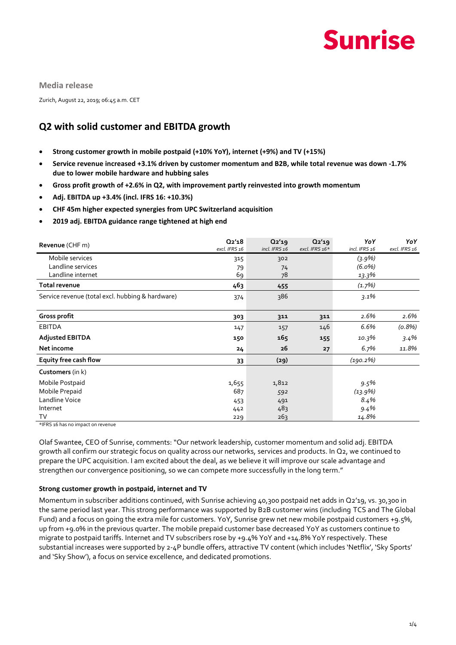

**Media release**

Zurich, August 22, 2019; 06:45 a.m. CET

### **Q2 with solid customer and EBITDA growth**

- **Strong customer growth in mobile postpaid (+10% YoY), internet (+9%) and TV (+15%)**
- **Service revenue increased +3.1% driven by customer momentum and B2B, while total revenue was down -1.7% due to lower mobile hardware and hubbing sales**
- **Gross profit growth of +2.6% in Q2, with improvement partly reinvested into growth momentum**
- **Adj. EBITDA up +3.4% (incl. IFRS 16: +10.3%)**
- **CHF 45m higher expected synergies from UPC Switzerland acquisition**
- **2019 adj. EBITDA guidance range tightened at high end**

| Revenue (CHF m)                                  | Q2'18<br>excl. IFRS 16 | Q2'19<br>incl. IFRS 16 | $Q_2'19$<br>excl. IFRS 16* | YoY<br>incl. IFRS 16 | YoY<br>excl. IFRS 16 |
|--------------------------------------------------|------------------------|------------------------|----------------------------|----------------------|----------------------|
| Mobile services                                  | 315                    | 302                    |                            | $(3.9\%)$            |                      |
| Landline services                                | 79                     | 74                     |                            | $(6.0\%)$            |                      |
| Landline internet                                | 69                     | 78                     |                            | 13.3%                |                      |
| Total revenue                                    | 463                    | 455                    |                            | (1.7%)               |                      |
| Service revenue (total excl. hubbing & hardware) | 374                    | 386                    |                            | $3.1\%$              |                      |
| Gross profit                                     | 303                    | 311                    | 311                        | 2.6%                 | 2.6%                 |
| <b>EBITDA</b>                                    | 147                    | 157                    | 146                        | 6.6%                 | (0.8%)               |
| <b>Adjusted EBITDA</b>                           | 150                    | 165                    | 155                        | 10.3%                | 3.4%                 |
| Net income                                       | 24                     | 26                     | 27                         | $6.7\%$              | 11.8%                |
| Equity free cash flow                            | 33                     | (29)                   |                            | (190.2%)             |                      |
| Customers (in k)                                 |                        |                        |                            |                      |                      |
| Mobile Postpaid                                  | 1,655                  | 1,812                  |                            | 9.5%                 |                      |
| Mobile Prepaid                                   | 687                    | 592                    |                            | $(13.9\%)$           |                      |
| Landline Voice                                   | 453                    | 491                    |                            | 8.4%                 |                      |
| Internet                                         | 442                    | 483                    |                            | $9.4\%$              |                      |
| TV                                               | 229                    | 263                    |                            | 14.8%                |                      |

\*IFRS 16 has no impact on revenue

Olaf Swantee, CEO of Sunrise, comments: "Our network leadership, customer momentum and solid adj. EBITDA growth all confirm our strategic focus on quality across our networks, services and products. In Q2, we continued to prepare the UPC acquisition. I am excited about the deal, as we believe it will improve our scale advantage and strengthen our convergence positioning, so we can compete more successfully in the long term."

#### **Strong customer growth in postpaid, internet and TV**

Momentum in subscriber additions continued, with Sunrise achieving 40,300 postpaid net adds in Q2'19, vs. 30,300 in the same period last year. This strong performance was supported by B2B customer wins (including TCS and The Global Fund) and a focus on going the extra mile for customers. YoY, Sunrise grew net new mobile postpaid customers +9.5%, up from +9.0% in the previous quarter. The mobile prepaid customer base decreased YoY as customers continue to migrate to postpaid tariffs. Internet and TV subscribers rose by +9.4% YoY and +14.8% YoY respectively. These substantial increases were supported by 2-4P bundle offers, attractive TV content (which includes 'Netflix', 'Sky Sports' and 'Sky Show'), a focus on service excellence, and dedicated promotions.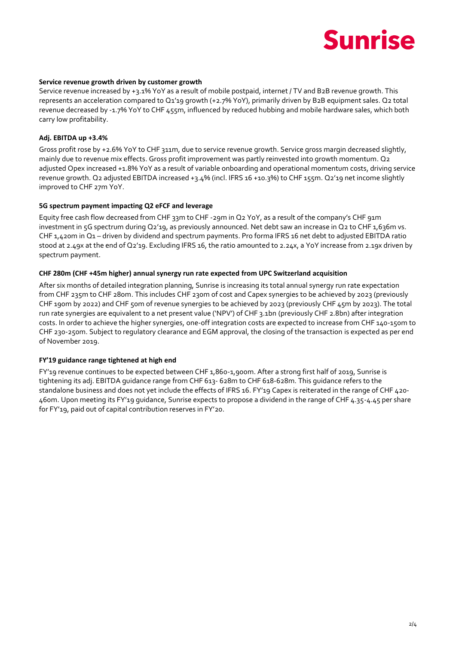## **Sunrise**

#### **Service revenue growth driven by customer growth**

Service revenue increased by +3.1% YoY as a result of mobile postpaid, internet / TV and B2B revenue growth. This represents an acceleration compared to Q1'19 growth (+2.7% YoY), primarily driven by B2B equipment sales. Q2 total revenue decreased by -1.7% YoY to CHF 455m, influenced by reduced hubbing and mobile hardware sales, which both carry low profitability.

#### **Adj. EBITDA up +3.4%**

Gross profit rose by +2.6% YoY to CHF 311m, due to service revenue growth. Service gross margin decreased slightly, mainly due to revenue mix effects. Gross profit improvement was partly reinvested into growth momentum. Q2 adjusted Opex increased +1.8% YoY as a result of variable onboarding and operational momentum costs, driving service revenue growth. Q2 adjusted EBITDA increased +3.4% (incl. IFRS 16 +10.3%) to CHF 155m. Q2'19 net income slightly improved to CHF 27m YoY.

#### **5G spectrum payment impacting Q2 eFCF and leverage**

Equity free cash flow decreased from CHF 33m to CHF -29m in Q2 YoY, as a result of the company's CHF 91m investment in 5G spectrum during Q2'19, as previously announced. Net debt saw an increase in Q2 to CHF 1,636m vs. CHF 1,420m in Q1 – driven by dividend and spectrum payments. Pro forma IFRS 16 net debt to adjusted EBITDA ratio stood at 2.49x at the end of Q2'19. Excluding IFRS 16, the ratio amounted to 2.24x, a YoY increase from 2.19x driven by spectrum payment.

#### **CHF 280m (CHF +45m higher) annual synergy run rate expected from UPC Switzerland acquisition**

After six months of detailed integration planning, Sunrise is increasing its total annual synergy run rate expectation from CHF 235m to CHF 280m. This includes CHF 230m of cost and Capex synergies to be achieved by 2023 (previously CHF 190m by 2022) and CHF 50m of revenue synergies to be achieved by 2023 (previously CHF 45m by 2023). The total run rate synergies are equivalent to a net present value ('NPV') of CHF 3.1bn (previously CHF 2.8bn) after integration costs. In order to achieve the higher synergies, one-off integration costs are expected to increase from CHF 140-150m to CHF 230-250m. Subject to regulatory clearance and EGM approval, the closing of the transaction is expected as per end of November 2019.

#### **FY'19 guidance range tightened at high end**

FY'19 revenue continues to be expected between CHF 1,860-1,900m. After a strong first half of 2019, Sunrise is tightening its adj. EBITDA guidance range from CHF 613- 628m to CHF 618-628m. This guidance refers to the standalone business and does not yet include the effects of IFRS 16. FY'19 Capex is reiterated in the range of CHF 420- 460m. Upon meeting its FY'19 guidance, Sunrise expects to propose a dividend in the range of CHF 4.35-4.45 per share for FY'19, paid out of capital contribution reserves in FY'20.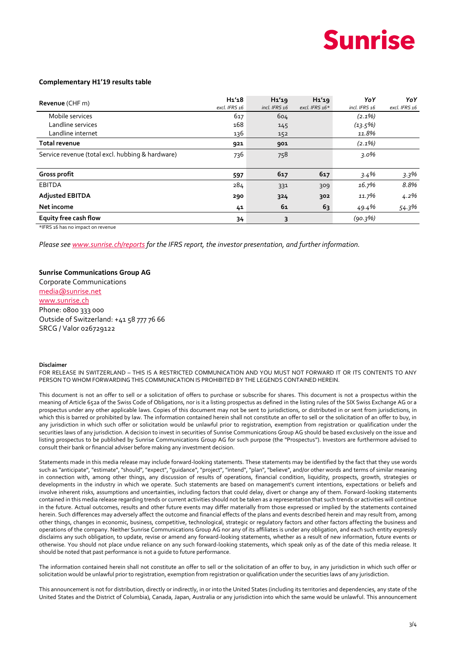## **Sunrise**

#### **Complementary H1'19 results table**

| Revenue (CHF m)                                  | H <sub>1</sub> ' <sub>18</sub><br>excl. IFRS 16 | $H_1'$ 19<br>incl. IFRS 16 | H1'19<br>excl. IFRS $16*$ | YoY<br>incl. IFRS 16 | YoY<br>excl. IFRS 16 |
|--------------------------------------------------|-------------------------------------------------|----------------------------|---------------------------|----------------------|----------------------|
| Mobile services                                  | 617                                             | 604                        |                           | $(2.1\%)$            |                      |
| Landline services                                | 168                                             | 145                        |                           | $(13.5\%)$           |                      |
| Landline internet                                | 136                                             | 152                        |                           | 11.8%                |                      |
| <b>Total revenue</b>                             | 921                                             | 901                        |                           | $(2.1\%)$            |                      |
| Service revenue (total excl. hubbing & hardware) | 736                                             | 758                        |                           | $3.0\%$              |                      |
|                                                  |                                                 |                            |                           |                      |                      |
| <b>Gross profit</b>                              | 597                                             | 617                        | 617                       | $3.4\%$              | 3.3%                 |
| <b>EBITDA</b>                                    | 284                                             | 331                        | 309                       | 16.7%                | 8.8%                 |
| <b>Adjusted EBITDA</b>                           | 290                                             | 324                        | 302                       | 11.7%                | $4.2\%$              |
| Net income                                       | 41                                              | 61                         | 63                        | 49.4%                | 54.3%                |
| Equity free cash flow                            | 34                                              | 3                          |                           | (90.3%)              |                      |

\*IFRS 16 has no impact on revenue

*Please see [www.sunrise.ch/reports](http://www.sunrise.ch/reports) for the IFRS report, the investor presentation, and further information.*

### **Sunrise Communications Group AG**

Corporate Communications [media@sunrise.net](mailto:media@sunrise.net) [www.sunrise.ch](http://www.sunrise.ch/) Phone: 0800 333 000 Outside of Switzerland: +41 58 777 76 66 SRCG / Valor 026729122

#### **Disclaimer**

FOR RELEASE IN SWITZERLAND – THIS IS A RESTRICTED COMMUNICATION AND YOU MUST NOT FORWARD IT OR ITS CONTENTS TO ANY PERSON TO WHOM FORWARDING THIS COMMUNICATION IS PROHIBITED BY THE LEGENDS CONTAINED HEREIN.

This document is not an offer to sell or a solicitation of offers to purchase or subscribe for shares. This document is not a prospectus within the meaning of Article 652a of the Swiss Code of Obligations, nor is it a listing prospectus as defined in the listing rules of the SIX Swiss Exchange AG or a prospectus under any other applicable laws. Copies of this document may not be sent to jurisdictions, or distributed in or sent from jurisdictions, in which this is barred or prohibited by law. The information contained herein shall not constitute an offer to sell or the solicitation of an offer to buy, in any jurisdiction in which such offer or solicitation would be unlawful prior to registration, exemption from registration or qualification under the securities laws of any jurisdiction. A decision to invest in securities of Sunrise Communications Group AG should be based exclusively on the issue and listing prospectus to be published by Sunrise Communications Group AG for such purpose (the "Prospectus"). Investors are furthermore advised to consult their bank or financial adviser before making any investment decision.

Statements made in this media release may include forward-looking statements. These statements may be identified by the fact that they use words such as "anticipate", "estimate", "should", "expect", "guidance", "project", "intend", "plan", "believe", and/or other words and terms of similar meaning in connection with, among other things, any discussion of results of operations, financial condition, liquidity, prospects, growth, strategies or developments in the industry in which we operate. Such statements are based on management's current intentions, expectations or beliefs and involve inherent risks, assumptions and uncertainties, including factors that could delay, divert or change any of them. Forward-looking statements contained in this media release regarding trends or current activities should not be taken as a representation that such trends or activities will continue in the future. Actual outcomes, results and other future events may differ materially from those expressed or implied by the statements contained herein. Such differences may adversely affect the outcome and financial effects of the plans and events described herein and may result from, among other things, changes in economic, business, competitive, technological, strategic or regulatory factors and other factors affecting the business and operations of the company. Neither Sunrise Communications Group AG nor any of its affiliates is under any obligation, and each such entity expressly disclaims any such obligation, to update, revise or amend any forward-looking statements, whether as a result of new information, future events or otherwise. You should not place undue reliance on any such forward-looking statements, which speak only as of the date of this media release. It should be noted that past performance is not a guide to future performance.

The information contained herein shall not constitute an offer to sell or the solicitation of an offer to buy, in any jurisdiction in which such offer or solicitation would be unlawful prior to registration, exemption from registration or qualification under the securities laws of any jurisdiction.

This announcement is not for distribution, directly or indirectly, in or into the United States (including its territories and dependencies, any state of the United States and the District of Columbia), Canada, Japan, Australia or any jurisdiction into which the same would be unlawful. This announcement